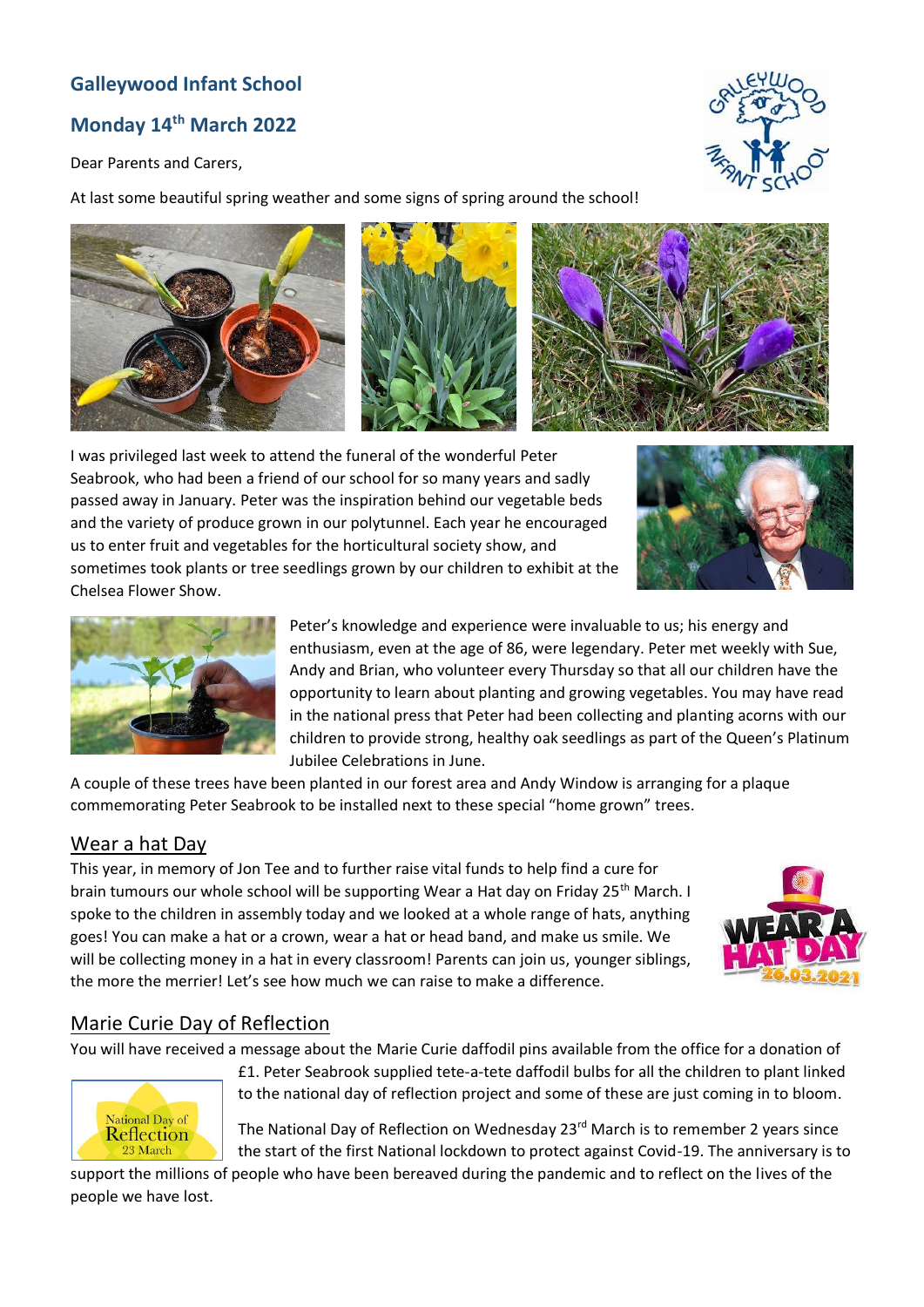# **Galleywood Infant School**

# **Monday 14 th March 2022**

Dear Parents and Carers,

At last some beautiful spring weather and some signs of spring around the school!







I was privileged last week to attend the funeral of the wonderful Peter Seabrook, who had been a friend of our school for so many years and sadly passed away in January. Peter was the inspiration behind our vegetable beds and the variety of produce grown in our polytunnel. Each year he encouraged us to enter fruit and vegetables for the horticultural society show, and sometimes took plants or tree seedlings grown by our children to exhibit at the Chelsea Flower Show.





Peter's knowledge and experience were invaluable to us; his energy and enthusiasm, even at the age of 86, were legendary. Peter met weekly with Sue, Andy and Brian, who volunteer every Thursday so that all our children have the opportunity to learn about planting and growing vegetables. You may have read in the national press that Peter had been collecting and planting acorns with our children to provide strong, healthy oak seedlings as part of the Queen's Platinum Jubilee Celebrations in June.

A couple of these trees have been planted in our forest area and Andy Window is arranging for a plaque commemorating Peter Seabrook to be installed next to these special "home grown" trees.

#### Wear a hat Day

This year, in memory of Jon Tee and to further raise vital funds to help find a cure for brain tumours our whole school will be supporting Wear a Hat day on Friday 25<sup>th</sup> March. I spoke to the children in assembly today and we looked at a whole range of hats, anything goes! You can make a hat or a crown, wear a hat or head band, and make us smile. We will be collecting money in a hat in every classroom! Parents can join us, younger siblings, the more the merrier! Let's see how much we can raise to make a difference.



#### Marie Curie Day of Reflection

You will have received a message about the Marie Curie daffodil pins available from the office for a donation of



£1. Peter Seabrook supplied tete-a-tete daffodil bulbs for all the children to plant linked to the national day of reflection project and some of these are just coming in to bloom.

The National Day of Reflection on Wednesday 23<sup>rd</sup> March is to remember 2 years since the start of the first National lockdown to protect against Covid-19. The anniversary is to

support the millions of people who have been bereaved during the pandemic and to reflect on the lives of the people we have lost.

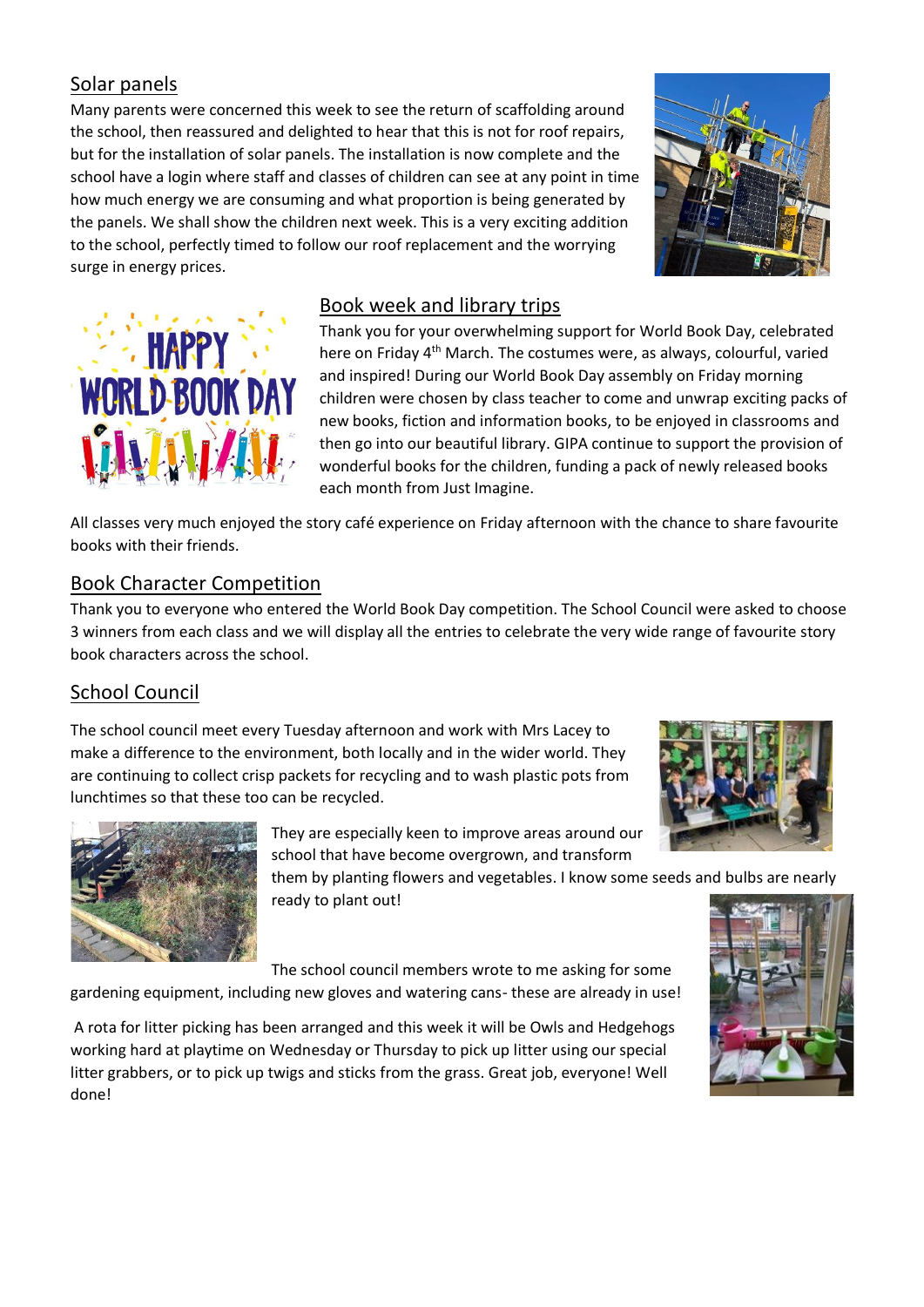# Solar panels

Many parents were concerned this week to see the return of scaffolding around the school, then reassured and delighted to hear that this is not for roof repairs, but for the installation of solar panels. The installation is now complete and the school have a login where staff and classes of children can see at any point in time how much energy we are consuming and what proportion is being generated by the panels. We shall show the children next week. This is a very exciting addition to the school, perfectly timed to follow our roof replacement and the worrying surge in energy prices.





### Book week and library trips

Thank you for your overwhelming support for World Book Day, celebrated here on Friday 4<sup>th</sup> March. The costumes were, as always, colourful, varied and inspired! During our World Book Day assembly on Friday morning children were chosen by class teacher to come and unwrap exciting packs of new books, fiction and information books, to be enjoyed in classrooms and then go into our beautiful library. GIPA continue to support the provision of wonderful books for the children, funding a pack of newly released books each month from Just Imagine.

All classes very much enjoyed the story café experience on Friday afternoon with the chance to share favourite books with their friends.

### Book Character Competition

Thank you to everyone who entered the World Book Day competition. The School Council were asked to choose 3 winners from each class and we will display all the entries to celebrate the very wide range of favourite story book characters across the school.

# School Council

The school council meet every Tuesday afternoon and work with Mrs Lacey to make a difference to the environment, both locally and in the wider world. They are continuing to collect crisp packets for recycling and to wash plastic pots from lunchtimes so that these too can be recycled.





They are especially keen to improve areas around our school that have become overgrown, and transform

them by planting flowers and vegetables. I know some seeds and bulbs are nearly ready to plant out!

The school council members wrote to me asking for some

gardening equipment, including new gloves and watering cans- these are already in use!

A rota for litter picking has been arranged and this week it will be Owls and Hedgehogs working hard at playtime on Wednesday or Thursday to pick up litter using our special litter grabbers, or to pick up twigs and sticks from the grass. Great job, everyone! Well done!